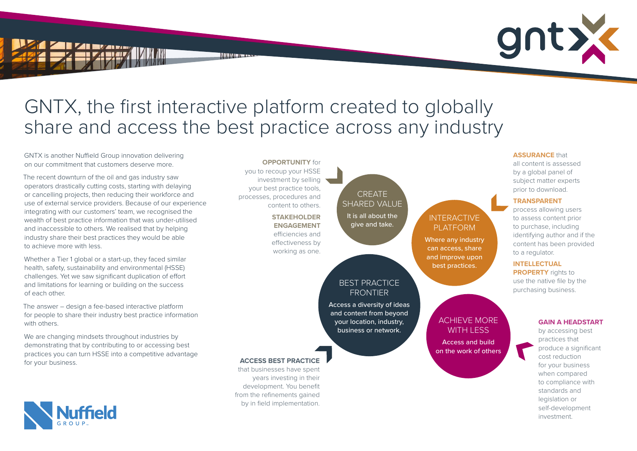# GNTX, the first interactive platform created to globally share and access the best practice across any industry

NINI IN IENERE

GNTX is another Nuffield Group innovation delivering on our commitment that customers deserve more.

The recent downturn of the oil and gas industry saw operators drastically cutting costs, starting with delaying or cancelling projects, then reducing their workforce and use of external service providers. Because of our experience integrating with our customers' team, we recognised the wealth of best practice information that was under-utilised and inaccessible to others. We realised that by helping industry share their best practices they would be able to achieve more with less.

We are changing mindsets throughout industries by demonstrating that by contributing to or accessing best practices you can turn HSSE into a competitive advantage for your business.

Whether a Tier 1 global or a start-up, they faced similar health, safety, sustainability and environmental (HSSE) challenges. Yet we saw significant duplication of effort and limitations for learning or building on the success of each other.

The answer – design a fee-based interactive platform for people to share their industry best practice information with others.

all content is assessed by a global panel of subject matter experts prior to download.

### **TRANSPARENT**

process allowing users to assess content prior to purchase, including identifying author and if the content has been provided to a regulator.

#### **INTELLECTUAL**

**PROPERTY** rights to use the native file by the purchasing business.



by accessing best practices that produce a significant cost reduction for your business when compared to compliance with standards and legislation or self-development investment.

### **ACCESS BEST PRACTICE**

that businesses have spent years investing in their development. You benefit from the refinements gained by in field implementation.

#### **OPPORTUNITY** for

you to recoup your HSSE investment by selling your best practice tools, processes, procedures and content to others.

## **STAKEHOLDER ENGAGEMENT** efficiencies and effectiveness by

working as one.

INTERACTIVE PLATFORM

Where any industry can access, share and improve upon best practices.

## BEST PRACTICE FRONTIER

Access a diversity of ideas and content from beyond your location, industry, business or network.

CREATE

## SHARED VALUE It is all about the give and take.

## ACHIEVE MORE WITH LESS

Access and build on the work of others







## **ASSURANCE that**